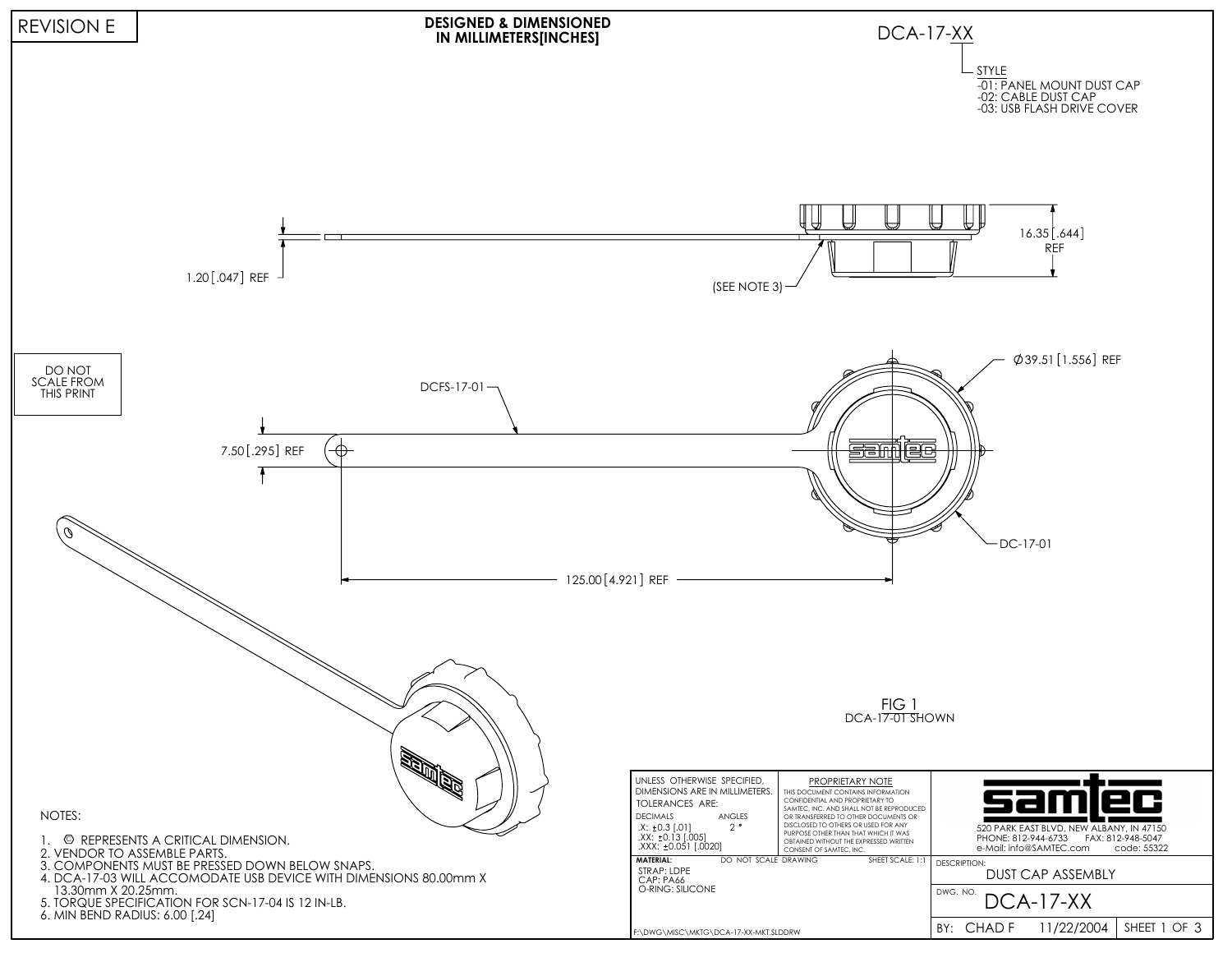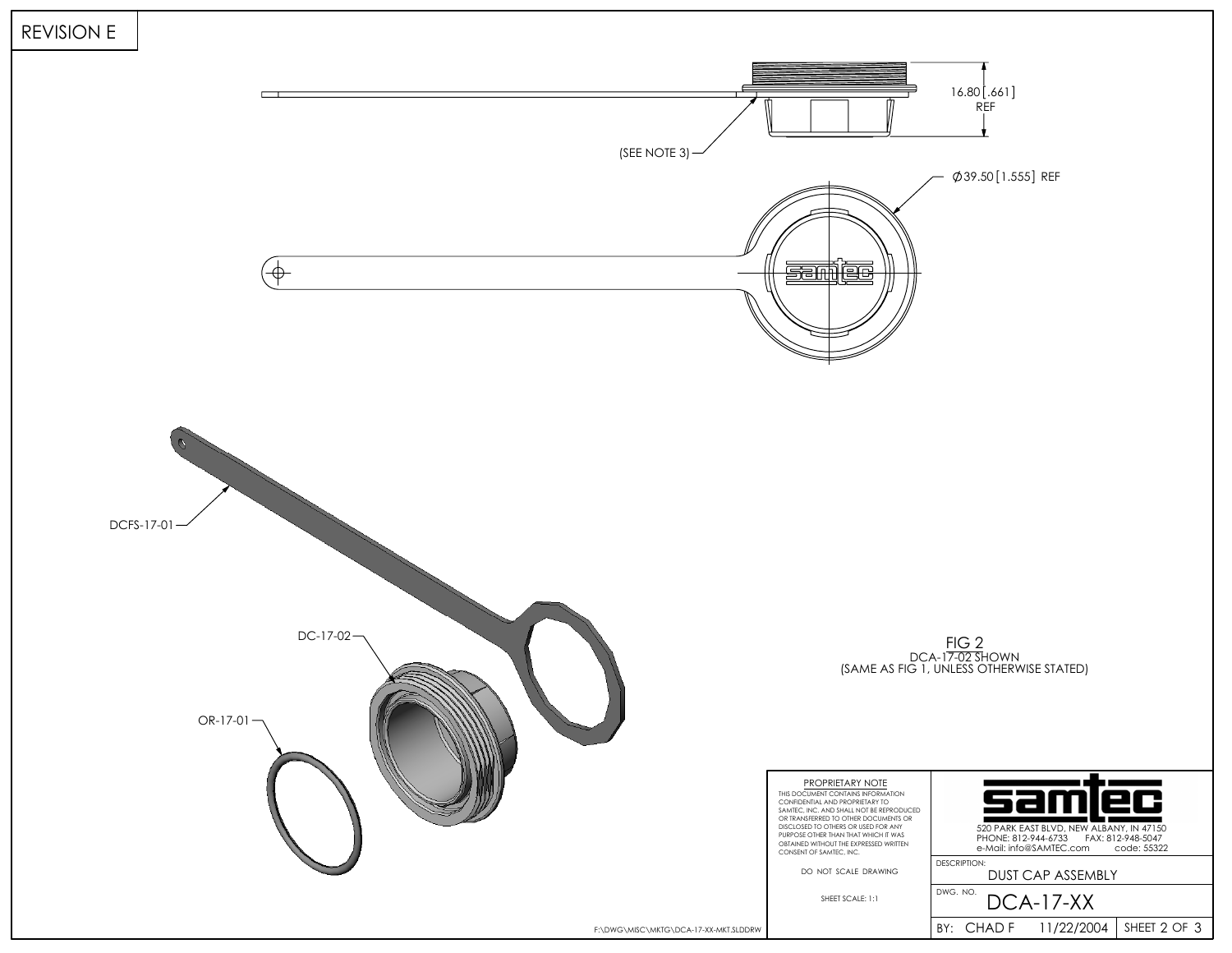